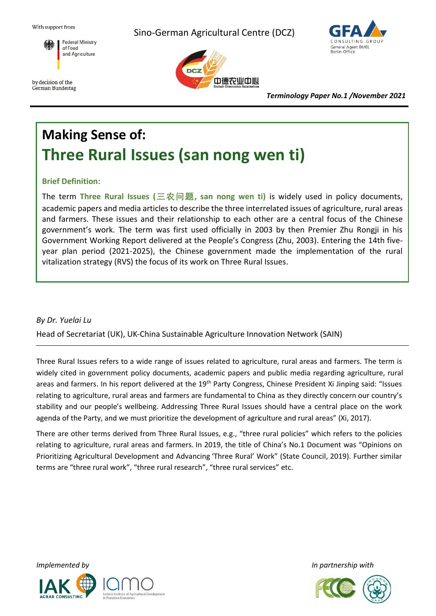With support from

Sino-German Agricultural Centre (DCZ)



by decision of the German Bundestag 中德农业中心



*Terminology Paper No.1 /November 2021*

# **Making Sense of: Three Rural Issues (san nong wen ti)**

# **Brief Definition:**

The term **Three Rural Issues (三农问题, san nong wen ti)** is widely used in policy documents, academic papers and media articles to describe the three interrelated issues of agriculture, rural areas and farmers. These issues and their relationship to each other are a central focus of the Chinese government's work. The term was first used officially in 2003 by then Premier Zhu Rongji in his Government Working Report delivered at the People's Congress (Zhu, 2003). Entering the 14th fiveyear plan period (2021-2025), the Chinese government made the implementation of the rural vitalization strategy (RVS) the focus of its work on Three Rural Issues.

# *By Dr. Yuelai Lu*

Head of Secretariat (UK), UK-China Sustainable Agriculture Innovation Network (SAIN)

Three Rural Issues refers to a wide range of issues related to agriculture, rural areas and farmers. The term is widely cited in government policy documents, academic papers and public media regarding agriculture, rural areas and farmers. In his report delivered at the 19<sup>th</sup> Party Congress, Chinese President Xi Jinping said: "Issues relating to agriculture, rural areas and farmers are fundamental to China as they directly concern our country's stability and our people's wellbeing. Addressing Three Rural Issues should have a central place on the work agenda of the Party, and we must prioritize the development of agriculture and rural areas" (Xi, 2017).

There are other terms derived from Three Rural Issues, e.g., "three rural policies" which refers to the policies relating to agriculture, rural areas and farmers. In 2019, the title of China's No.1 Document was "Opinions on Prioritizing Agricultural Development and Advancing 'Three Rural' Work" (State Council, 2019). Further similar terms are "three rural work", "three rural research", "three rural services" etc.





*Implemented by In partnership with*

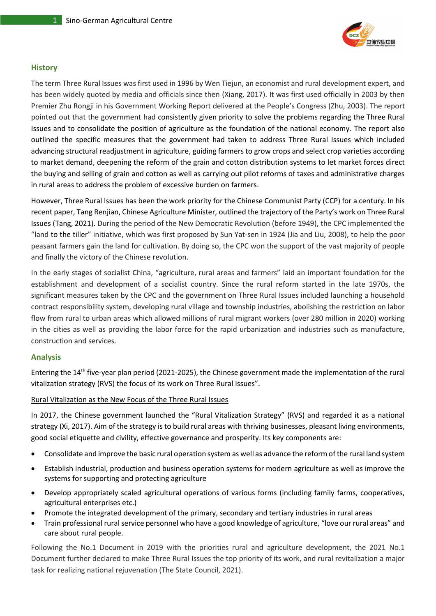

#### **History**

The term Three Rural Issues was first used in 1996 by Wen Tiejun, an economist and rural development expert, and has been widely quoted by media and officials since then (Xiang, 2017). It was first used officially in 2003 by then Premier Zhu Rongji in his Government Working Report delivered at the People's Congress (Zhu, 2003). The report pointed out that the government had consistently given priority to solve the problems regarding the Three Rural Issues and to consolidate the position of agriculture as the foundation of the national economy. The report also outlined the specific measures that the government had taken to address Three Rural Issues which included advancing structural readjustment in agriculture, guiding farmers to grow crops and select crop varieties according to market demand, deepening the reform of the grain and cotton distribution systems to let market forces direct the buying and selling of grain and cotton as well as carrying out pilot reforms of taxes and administrative charges in rural areas to address the problem of excessive burden on farmers.

However, Three Rural Issues has been the work priority for the Chinese Communist Party (CCP) for a century. In his recent paper, Tang Renjian, Chinese Agriculture Minister, outlined the trajectory of the Party's work on Three Rural Issues (Tang, 2021). During the period of the New Democratic Revolution (before 1949), the CPC implemented the "land to the tiller" initiative, which was first proposed by Sun Yat-sen in 1924 (Jia and Liu, 2008), to help the poor peasant farmers gain the land for cultivation. By doing so, the CPC won the support of the vast majority of people and finally the victory of the Chinese revolution.

In the early stages of socialist China, "agriculture, rural areas and farmers" laid an important foundation for the establishment and development of a socialist country. Since the rural reform started in the late 1970s, the significant measures taken by the CPC and the government on Three Rural Issues included launching a household contract responsibility system, developing rural village and township industries, abolishing the restriction on labor flow from rural to urban areas which allowed millions of rural migrant workers (over 280 million in 2020) working in the cities as well as providing the labor force for the rapid urbanization and industries such as manufacture, construction and services.

## **Analysis**

Entering the 14th five-year plan period (2021-2025), the Chinese government made the implementation of the rural vitalization strategy (RVS) the focus of its work on Three Rural Issues".

#### Rural Vitalization as the New Focus of the Three Rural Issues

In 2017, the Chinese government launched the "Rural Vitalization Strategy" (RVS) and regarded it as a national strategy (Xi, 2017). Aim of the strategy is to build rural areas with thriving businesses, pleasant living environments, good social etiquette and civility, effective governance and prosperity. Its key components are:

- Consolidate and improve the basic rural operation system as well as advance the reform of the rural land system
- Establish industrial, production and business operation systems for modern agriculture as well as improve the systems for supporting and protecting agriculture
- Develop appropriately scaled agricultural operations of various forms (including family farms, cooperatives, agricultural enterprises etc.)
- Promote the integrated development of the primary, secondary and tertiary industries in rural areas
- Train professional rural service personnel who have a good knowledge of agriculture, "love our rural areas" and care about rural people.

Following the No.1 Document in 2019 with the priorities rural and agriculture development, the 2021 No.1 Document further declared to make Three Rural Issues the top priority of its work, and rural revitalization a major task for realizing national rejuvenation (The State Council, 2021).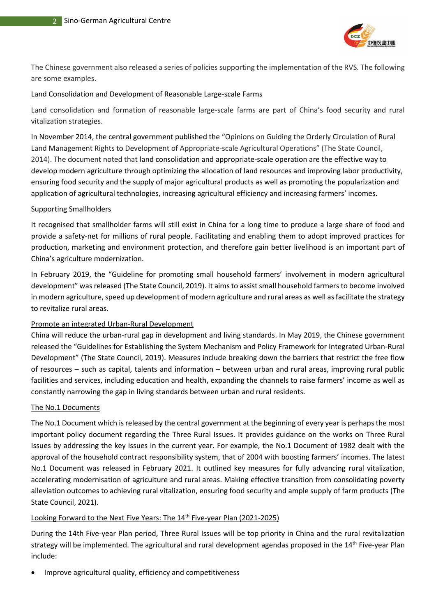

The Chinese government also released a series of policies supporting the implementation of the RVS. The following are some examples.

#### Land Consolidation and Development of Reasonable Large-scale Farms

Land consolidation and formation of reasonable large-scale farms are part of China's food security and rural vitalization strategies.

In November 2014, the central government published the "Opinions on Guiding the Orderly Circulation of Rural Land Management Rights to Development of Appropriate-scale Agricultural Operations" (The State Council, 2014). The document noted that land consolidation and appropriate-scale operation are the effective way to develop modern agriculture through optimizing the allocation of land resources and improving labor productivity, ensuring food security and the supply of major agricultural products as well as promoting the popularization and application of agricultural technologies, increasing agricultural efficiency and increasing farmers' incomes.

#### Supporting Smallholders

It recognised that smallholder farms will still exist in China for a long time to produce a large share of food and provide a safety-net for millions of rural people. Facilitating and enabling them to adopt improved practices for production, marketing and environment protection, and therefore gain better livelihood is an important part of China's agriculture modernization.

In February 2019, the "Guideline for promoting small household farmers' involvement in modern agricultural development" was released (The State Council, 2019). It aims to assist small household farmers to become involved in modern agriculture, speed up development of modern agriculture and rural areas as well as facilitate the strategy to revitalize rural areas.

## Promote an integrated Urban-Rural Development

China will reduce the urban-rural gap in development and living standards. In May 2019, the Chinese government released the "Guidelines for Establishing the System Mechanism and Policy Framework for Integrated Urban-Rural Development" (The State Council, 2019). Measures include breaking down the barriers that restrict the free flow of resources – such as capital, talents and information – between urban and rural areas, improving rural public facilities and services, including education and health, expanding the channels to raise farmers' income as well as constantly narrowing the gap in living standards between urban and rural residents.

## The No.1 Documents

The No.1 Document which is released by the central government at the beginning of every year is perhaps the most important policy document regarding the Three Rural Issues. It provides guidance on the works on Three Rural Issues by addressing the key issues in the current year. For example, the No.1 Document of 1982 dealt with the approval of the household contract responsibility system, that of 2004 with boosting farmers' incomes. The latest No.1 Document was released in February 2021. It outlined key measures for fully advancing rural vitalization, accelerating modernisation of agriculture and rural areas. Making effective transition from consolidating poverty alleviation outcomes to achieving rural vitalization, ensuring food security and ample supply of farm products (The State Council, 2021).

## Looking Forward to the Next Five Years: The 14<sup>th</sup> Five-year Plan (2021-2025)

During the 14th Five-year Plan period, Three Rural Issues will be top priority in China and the rural revitalization strategy will be implemented. The agricultural and rural development agendas proposed in the 14<sup>th</sup> Five-year Plan include:

Improve agricultural quality, efficiency and competitiveness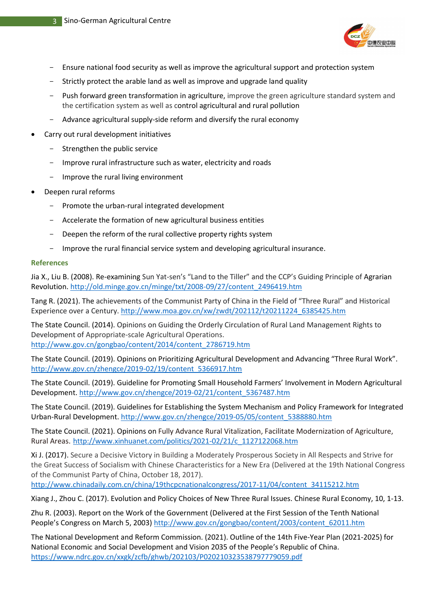

- Ensure national food security as well as improve the agricultural support and protection system
- Strictly protect the arable land as well as improve and upgrade land quality
- Push forward green transformation in agriculture, improve the green agriculture standard system and the certification system as well as control agricultural and rural pollution
- Advance agricultural supply-side reform and diversify the rural economy
- Carry out rural development initiatives
	- Strengthen the public service
	- Improve rural infrastructure such as water, electricity and roads
	- Improve the rural living environment
- Deepen rural reforms
	- Promote the urban-rural integrated development
	- Accelerate the formation of new agricultural business entities
	- Deepen the reform of the rural collective property rights system
	- Improve the rural financial service system and developing agricultural insurance.

#### **References**

Jia X., Liu B. (2008). Re-examining Sun Yat-sen's "Land to the Tiller" and the CCP's Guiding Principle of Agrarian Revolution. [http://old.minge.gov.cn/minge/txt/2008-09/27/content\\_2496419.htm](http://old.minge.gov.cn/minge/txt/2008-09/27/content_2496419.htm)

Tang R. (2021). The achievements of the Communist Party of China in the Field of "Three Rural" and Historical Experience over a Century. [http://www.moa.gov.cn/xw/zwdt/202112/t20211224\\_6385425.htm](http://www.moa.gov.cn/xw/zwdt/202112/t20211224_6385425.htm)

The State Council. (2014). Opinions on Guiding the Orderly Circulation of Rural Land Management Rights to Development of Appropriate-scale Agricultural Operations. [http://www.gov.cn/gongbao/content/2014/content\\_2786719.htm](http://www.gov.cn/gongbao/content/2014/content_2786719.htm)

The State Council. (2019). Opinions on Prioritizing Agricultural Development and Advancing "Three Rural Work". [http://www.gov.cn/zhengce/2019-02/19/content\\_5366917.htm](http://www.gov.cn/zhengce/2019-02/19/content_5366917.htm)

The State Council. (2019). Guideline for Promoting Small Household Farmers' Involvement in Modern Agricultural Development. [http://www.gov.cn/zhengce/2019-02/21/content\\_5367487.htm](http://www.gov.cn/zhengce/2019-02/21/content_5367487.htm)

The State Council. (2019). Guidelines for Establishing the System Mechanism and Policy Framework for Integrated Urban-Rural Development. [http://www.gov.cn/zhengce/2019-05/05/content\\_5388880.htm](http://www.gov.cn/zhengce/2019-05/05/content_5388880.htm)

The State Council. (2021). Opinions on Fully Advance Rural Vitalization, Facilitate Modernization of Agriculture, Rural Areas. [http://www.xinhuanet.com/politics/2021-02/21/c\\_1127122068.htm](http://www.xinhuanet.com/politics/2021-02/21/c_1127122068.htm)

Xi J. (2017). Secure a Decisive Victory in Building a Moderately Prosperous Society in All Respects and Strive for the Great Success of Socialism with Chinese Characteristics for a New Era (Delivered at the 19th National Congress of the Communist Party of China, October 18, 2017).

[http://www.chinadaily.com.cn/china/19thcpcnationalcongress/2017-11/04/content\\_34115212.htm](http://www.chinadaily.com.cn/china/19thcpcnationalcongress/2017-11/04/content_34115212.htm)

Xiang J., Zhou C. (2017). Evolution and Policy Choices of New Three Rural Issues. Chinese Rural Economy, 10, 1-13.

Zhu R. (2003). Report on the Work of the Government (Delivered at the First Session of the Tenth National People's Congress on March 5, 2003) [http://www.gov.cn/gongbao/content/2003/content\\_62011.htm](http://www.gov.cn/gongbao/content/2003/content_62011.htm)

The National Development and Reform Commission. (2021). Outline of the 14th Five-Year Plan (2021-2025) for National Economic and Social Development and Vision 2035 of the People's Republic of China. <https://www.ndrc.gov.cn/xxgk/zcfb/ghwb/202103/P020210323538797779059.pdf>